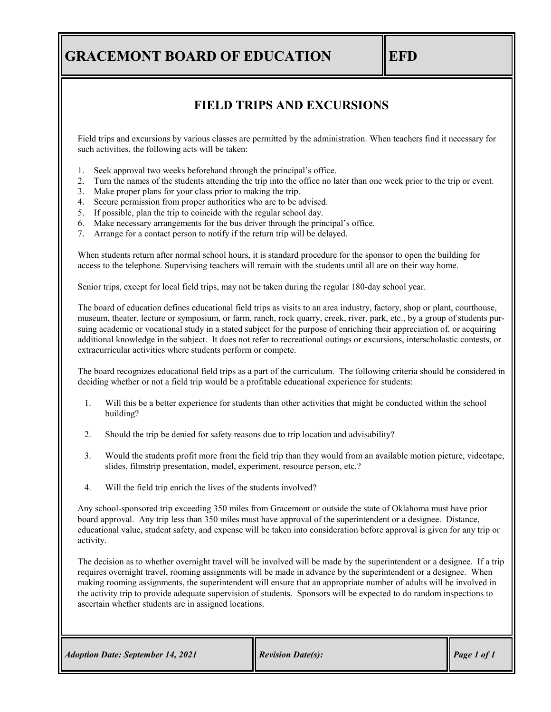## **GRACEMONT BOARD OF EDUCATION** EFD

## **FIELD TRIPS AND EXCURSIONS**

Field trips and excursions by various classes are permitted by the administration. When teachers find it necessary for such activities, the following acts will be taken:

- 1. Seek approval two weeks beforehand through the principal's office.
- 2. Turn the names of the students attending the trip into the office no later than one week prior to the trip or event.
- 3. Make proper plans for your class prior to making the trip.
- 4. Secure permission from proper authorities who are to be advised.
- 5. If possible, plan the trip to coincide with the regular school day.
- 6. Make necessary arrangements for the bus driver through the principal's office.
- 7. Arrange for a contact person to notify if the return trip will be delayed.

When students return after normal school hours, it is standard procedure for the sponsor to open the building for access to the telephone. Supervising teachers will remain with the students until all are on their way home.

Senior trips, except for local field trips, may not be taken during the regular 180-day school year.

The board of education defines educational field trips as visits to an area industry, factory, shop or plant, courthouse, museum, theater, lecture or symposium, or farm, ranch, rock quarry, creek, river, park, etc., by a group of students pursuing academic or vocational study in a stated subject for the purpose of enriching their appreciation of, or acquiring additional knowledge in the subject. It does not refer to recreational outings or excursions, interscholastic contests, or extracurricular activities where students perform or compete.

The board recognizes educational field trips as a part of the curriculum. The following criteria should be considered in deciding whether or not a field trip would be a profitable educational experience for students:

- 1. Will this be a better experience for students than other activities that might be conducted within the school building?
- 2. Should the trip be denied for safety reasons due to trip location and advisability?
- 3. Would the students profit more from the field trip than they would from an available motion picture, videotape, slides, filmstrip presentation, model, experiment, resource person, etc.?
- 4. Will the field trip enrich the lives of the students involved?

Any school-sponsored trip exceeding 350 miles from Gracemont or outside the state of Oklahoma must have prior board approval. Any trip less than 350 miles must have approval of the superintendent or a designee. Distance, educational value, student safety, and expense will be taken into consideration before approval is given for any trip or activity.

The decision as to whether overnight travel will be involved will be made by the superintendent or a designee. If a trip requires overnight travel, rooming assignments will be made in advance by the superintendent or a designee. When making rooming assignments, the superintendent will ensure that an appropriate number of adults will be involved in the activity trip to provide adequate supervision of students. Sponsors will be expected to do random inspections to ascertain whether students are in assigned locations.